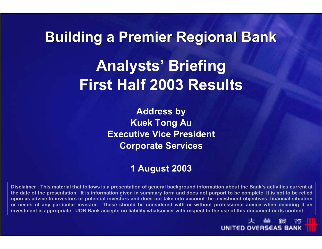# **Building a Premier Regional Bank Analysts' Briefing First Half 2003 Results**

**Address by Kuek Tong Au Executive Vice PresidentCorporate Services**

#### **1 August 2003**

**Disclaimer : This material that follows is a presentation of general background information about the Bank's activities current at the date of the presentation. It is information given in summary form and does not purport to be complete. It is not to be relied upon as advice to investors or potential investors and does not take into account the investment objectives, financial situatio nor needs of any particular investor. These should be considered with or without professional advice when deciding if an investment is appropriate. UOB Bank accepts no liability whatsoever with respect to the use of this document or its content.**

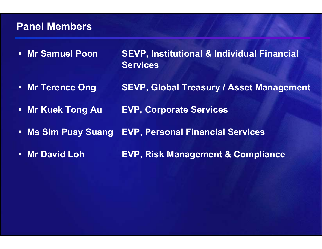#### **Panel Members**

- **Nr Samuel Poon SEVP, Institutional & Individual Financial Services**
- $\Box$ **Mr Terence Ong SEVP, Global Treasury / Asset Management**
- $\blacksquare$ **Mr Kuek Tong Au EVP, Corporate Services**
- $\Box$ **Ms Sim Puay Suang EVP, Personal Financial Services**
- **Nr David Loh EVP, Risk Management & Compliance**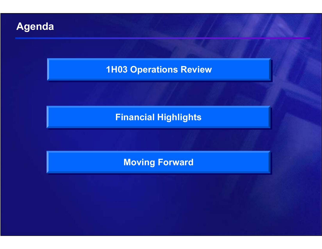

#### **1H03 Operations Review 1H03 Operations Review**

#### **Financial Highlights Financial Highlights**

#### **Moving Forward Moving Forward**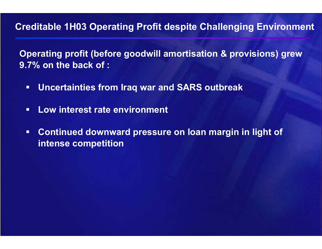#### **Creditable 1H03 Operating Profit despite Challenging Environment**

**Operating profit (before goodwill amortisation & provisions) grew 9.7% on the back of :**

- $\blacksquare$ **Uncertainties from Iraq war and SARS outbreak**
- $\blacksquare$ **Low interest rate environment**
- $\blacksquare$  **Continued downward pressure on loan margin in light of intense competition**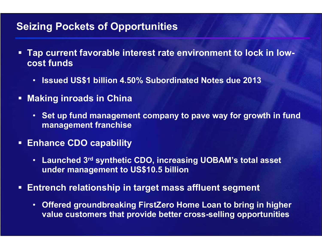#### **Seizing Pockets of Opportunities**

- $\Box$  **Tap current favorable interest rate environment to lock in lowcost funds** 
	- •**Issued US\$1 billion 4.50% Subordinated Notes due 2013**
- **Making inroads in China** 
	- **Set up fund management company to pave way for growth in fund management franchise**
- **Enhance CDO capability**
	- **Launched 3rd synthetic CDO, increasing UOBAM's total asset under management to US\$10.5 billion**
- **Entrench relationship in target mass affluent segment**
	- • **Offered groundbreaking FirstZero Home Loan to bring in higher value customers that provide better cross-selling opportunities**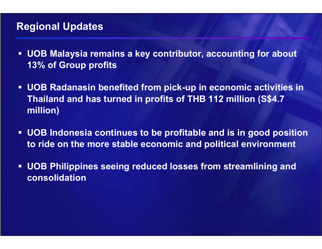#### **Regional Updates**

- $\blacksquare$  **UOB Malaysia remains a key contributor, accounting for about 13% of Group profits**
- **UOB Radanasin benefited from pick-up in economic activities in Thailand and has turned in profits of THB 112 million (S\$4.7 million)**
- $\blacksquare$  **UOB Indonesia continues to be profitable and is in good position to ride on the more stable economic and political environment**
- $\blacksquare$  **UOB Philippines seeing reduced losses from streamlining and consolidation**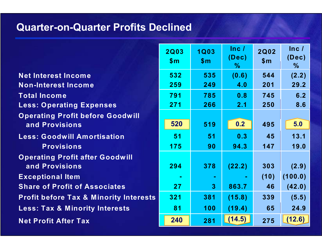#### **Quarter-on-Quarter Profits Declined**

**Net Interest Income Non-Interest Income Total Income Less: Operating Expenses O peratin g Profit before Goodwill and Provisions Less: Goodwill Amortisation Provisions O peratin g Profit after Goodwill and Provisions Exceptional Item Share of Profit of Associates Profit before Tax & Minority Interests Less: Tax & Minority Interests Net Profit After Tax** 

| <b>2Q03</b><br>\$m | <b>1Q03</b><br>\$m | ln c /<br>(Dec)<br>℅ | <b>2Q02</b><br>\$m | Inc/<br>(Dec)<br>℅ |
|--------------------|--------------------|----------------------|--------------------|--------------------|
| 532                | 535                | (0.6)                | 544                | (2.2)              |
| 259                | 249                | 4.0                  | 201                | 29.2               |
| 791                | 785                | 0.8                  | 745                | 6.2                |
| 271                | 266                | 2.1                  | 250                | 8.6                |
|                    |                    |                      |                    |                    |
| 520                | 519                | 0.2                  | 495                | 5.0                |
| 51                 | 51                 | 0.3                  | 45                 | 13.1               |
| 175                | 90                 | 94.3                 | 147                | 19.0               |
|                    |                    |                      |                    |                    |
| 294                | 378                | (22.2)               | 303                | (2.9)              |
|                    |                    |                      | (10)               | (100.0)            |
| 27                 | 3                  | 863.7                | 46                 | (42.0)             |
| 321                | 381                | (15.8)               | 339                | (5.5)              |
| 81                 | 100                | (19.4)               | 65                 | 24.9               |
| 240                | 281                | (14.5)               | 275                | (12.6)             |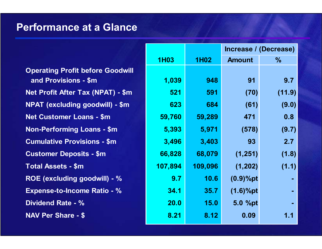#### **Performance at a Glance**

**Operating Profit before Goodwill and Provisions - \$m Net Profit After Tax (NPAT) - \$m NPAT (excluding goodwill) - \$m 684 623 (61) (9.0) Net Customer Loans - \$m Non-Performing Loans - \$m Cumulative Provisions - \$m Customer Deposits - \$m Total Assets - \$m 109,096 107,894 (1,202) (1.1) ROE (excluding goodwill) - % 10.6 9.7 (0.9)%pt - Expense-to-Income Ratio - % Dividend Rate - % 15.0NAV Per Share - \$.12** 

|             |             | Increase / (Decrease) |        |  |
|-------------|-------------|-----------------------|--------|--|
| <b>1H03</b> | <b>1H02</b> | <b>Amount</b>         | $\%$   |  |
|             |             |                       |        |  |
| 1,039       | 948         | 91                    | 9.7    |  |
| 521         | 591         | (70)                  | (11.9) |  |
| 623         | 684         | (61)                  | (9.0)  |  |
| 59,760      | 59,289      | 471                   | 0.8    |  |
| 5,393       | 5,971       | (578)                 | (9.7)  |  |
| 3,496       | 3,403       | 93                    | 2.7    |  |
| 66,828      | 68,079      | (1, 251)              | (1.8)  |  |
| 107,894     | 109,096     | (1, 202)              | (1.1)  |  |
| 9.7         | 10.6        | $(0.9)%$ pt           |        |  |
| 34.1        | 35.7        | $(1.6)%$ pt           |        |  |
| 20.0        | <b>15.0</b> | 5.0 %pt               |        |  |
| 8.21        | 8.12        | 0.09                  | 1.1    |  |
|             |             |                       |        |  |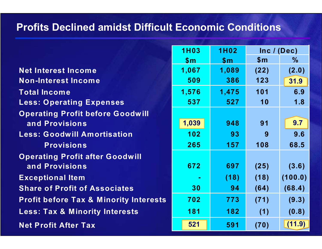#### **Profits Declined amidst Difficult Economic Conditions**

|                                                   | <b>1H03</b>    | <b>1H02</b>    |              | Inc / (Dec)   |
|---------------------------------------------------|----------------|----------------|--------------|---------------|
|                                                   | $\mathbf{\$m}$ | $\mathbf{\$m}$ | $\mathsf{m}$ | $\frac{0}{0}$ |
| <b>Net Interest Income</b>                        | 1,067          | 1,089          | (22)         | (2.0)         |
| <b>Non-Interest Income</b>                        | 509            | 386            | 123          | 31.9          |
| <b>Total Income</b>                               | 1,576          | 1,475          | 101          | 6.9           |
| <b>Less: Operating Expenses</b>                   | 537            | 527            | 10           | 1.8           |
| <b>Operating Profit before Goodwill</b>           |                |                |              |               |
| and Provisions                                    | 1,039          | 948            | 91           | 9.7           |
| <b>Less: Goodwill Amortisation</b>                | 102            | 93             | 9            | 9.6           |
| <b>Provisions</b>                                 | 265            | 157            | 108          | 68.5          |
| <b>Operating Profit after Goodwill</b>            |                |                |              |               |
| and Provisions                                    | 672            | 697            | (25)         | (3.6)         |
| <b>Exceptional Item</b>                           |                | (18)           | (18)         | (100.0)       |
| <b>Share of Profit of Associates</b>              | 30             | 94             | (64)         | (68.4)        |
| <b>Profit before Tax &amp; Minority Interests</b> | 702            | 773            | (71)         | (9.3)         |
| <b>Less: Tax &amp; Minority Interests</b>         | 181            | 182            | (1)          | (0.8)         |
| <b>Net Profit After Tax</b>                       | 521            | 591            | (70)         | (11.9)        |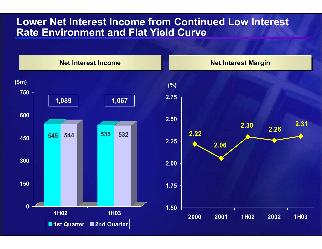#### **Lower Net Interest Income from Continued Low Interest Rate Environment and Flat Yield Curve**

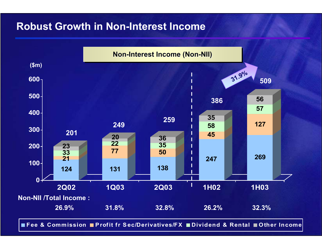#### **Robust Growth in Non-Interest Income**



**Fee & Commission P rofit fr S ec/Derivatives/FX Dividend & Rental Other Income**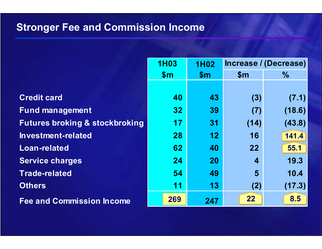## **Stronger Fee and Commission Income**

|                                           | <b>1H03</b>     | <b>1H02</b> |                         | Increase / (Decrease) |
|-------------------------------------------|-----------------|-------------|-------------------------|-----------------------|
|                                           | $\mathsf{Sm}$   | \$m\$       | $\mathsf{Sm}$           | $\%$                  |
|                                           |                 |             |                         |                       |
| <b>Credit card</b>                        | 40              | 43          | (3)                     | (7.1)                 |
| <b>Fund management</b>                    | 32 <sub>2</sub> | 39          | (7)                     | (18.6)                |
| <b>Futures broking &amp; stockbroking</b> | 17              | 31          | (14)                    | (43.8)                |
| Investment-related                        | 28              | 12          | 16                      | 141.4                 |
| <b>Loan-related</b>                       | 62              | 40          | 22                      | 55.1                  |
| <b>Service charges</b>                    | 24              | <b>20</b>   | $\overline{\mathbf{4}}$ | 19.3                  |
| <b>Trade-related</b>                      | 54              | 49          | 5                       | 10.4                  |
| <b>Others</b>                             | 11              | 13          | (2)                     | (17.3)                |
| <b>Fee and Commission Income</b>          | 269             | 247         | 22                      | 8.5                   |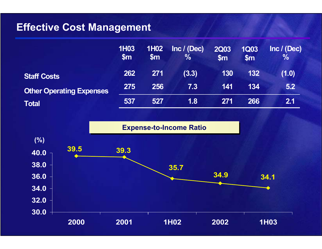#### **Effective Cost Management**

|                                 | <b>1H03</b><br>$\mathsf{Sm}$ | <b>1H02</b><br>$\mathbb{S}_{\mathsf{m}}$ | Inc / (Dec)<br>$\frac{0}{0}$ | <b>2Q03</b><br>$\mathsf{Sm}$ | <b>1Q03</b><br>$\mathsf{Sm}$ | Inc / (Dec)<br>$\frac{0}{0}$ |
|---------------------------------|------------------------------|------------------------------------------|------------------------------|------------------------------|------------------------------|------------------------------|
| <b>Staff Costs</b>              | 262                          | 271                                      | (3.3)                        | 130                          | 132                          | (1.0)                        |
| <b>Other Operating Expenses</b> | 275                          | 256                                      | $\vert 7.3 \vert$            | 141                          | 134                          | 5.2                          |
| <b>Total</b>                    | 537                          | 527                                      | 1.8                          | 271                          | 266                          | 2.1                          |

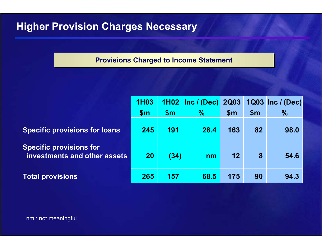#### **Higher Provision Charges Necessary**

#### **Provisions Charged to Income Statement**

|                                                                | <b>1H03</b> |               | 1H02   Inc / (Dec)   2Q03 |                |                | 1Q03 Inc / (Dec) |
|----------------------------------------------------------------|-------------|---------------|---------------------------|----------------|----------------|------------------|
|                                                                | \$m\$       | $\mathsf{Sm}$ | $\frac{1}{2}$             | $\mathsf{S}$ m | $\mathsf{S}$ m | $\frac{0}{0}$    |
| <b>Specific provisions for loans</b>                           | 245         | 191           | 28.4                      | 163            | 82             | 98.0             |
| <b>Specific provisions for</b><br>investments and other assets | 20          | (34)          | n <sub>m</sub>            | 12             | 8              | 54.6             |
| <b>Total provisions</b>                                        | 265         | 157           | 68.5                      | 175            | 90             | 94.3             |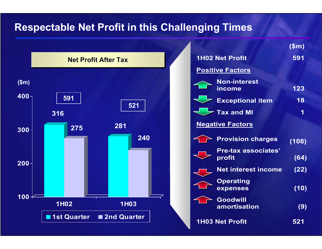#### **Respectable Net Profit in this Challenging Times**



|                                      | \$m\$ |
|--------------------------------------|-------|
| <b>1H02 Net Profit</b>               | 591   |
| <b>Positive Factors</b>              |       |
| <b>Non-interest</b><br><b>income</b> | 123   |
| <b>Exceptional item</b>              | 18    |
| <b>Tax and MI</b>                    | 1     |
| <b>Negative Factors</b>              |       |
| <b>Provision charges</b>             | (108) |
| <b>Pre-tax associates'</b><br>profit | (64)  |
| <b>Net interest income</b>           | (22)  |
| <b>Operating</b><br>expenses         | (10)  |
| <b>Goodwill</b><br>amortisation      | (9)   |
| <b>1H03 Net Profit</b>               | 521   |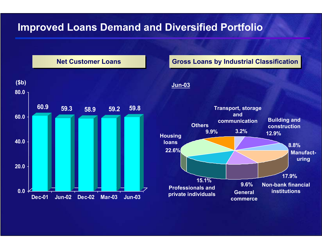#### **Improved Loans Demand and Diversified Portfolio**

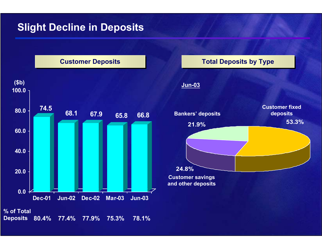#### **Slight Decline in Deposits**



#### **Total Deposits by Type Total Deposits by Type**

#### **Jun-03**



**and other deposits**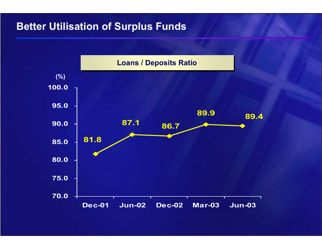#### **Better Utilisation of Surplus Funds**

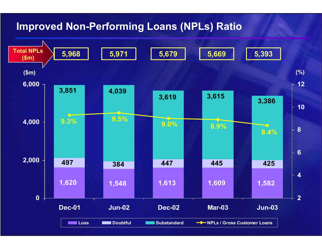#### **Improved Non-Performing Loans (NPLs) Ratio**

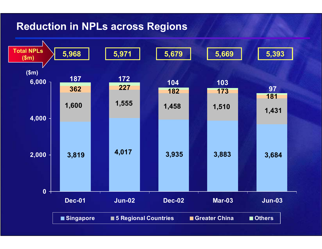#### **Reduction in NPLs across Regions**

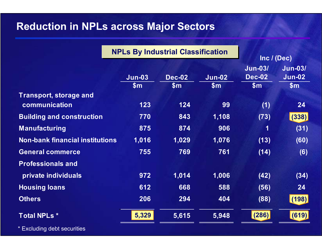#### **Reduction in NPLs across Major Sectors**

|                                         | <b>NPLs By Industrial Classification</b> |                        | Inc / (Dec)            |                                          |                                          |
|-----------------------------------------|------------------------------------------|------------------------|------------------------|------------------------------------------|------------------------------------------|
|                                         | <b>Jun-03</b><br>\$m\$                   | <b>Dec-02</b><br>\$m\$ | <b>Jun-02</b><br>\$m\$ | <b>Jun-03/</b><br><b>Dec-02</b><br>\$m\$ | <b>Jun-03/</b><br><b>Jun-02</b><br>\$m\$ |
| Transport, storage and<br>communication | 123                                      | 124                    | 99                     | (1)                                      | 24                                       |
| <b>Building and construction</b>        | 770                                      | 843                    | 1,108                  | (73)                                     | (338)                                    |
| <b>Manufacturing</b>                    | 875                                      | 874                    | 906                    | 1                                        | (31)                                     |
| <b>Non-bank financial institutions</b>  | 1,016                                    | 1,029                  | 1,076                  | (13)                                     | (60)                                     |
| <b>General commerce</b>                 | 755                                      | 769                    | 761                    | (14)                                     | (6)                                      |
| <b>Professionals and</b>                |                                          |                        |                        |                                          |                                          |
| private individuals                     | 972                                      | 1,014                  | 1,006                  | (42)                                     | (34)                                     |
| <b>Housing loans</b>                    | 612                                      | 668                    | 588                    | (56)                                     | 24                                       |
| <b>Others</b>                           | 206                                      | 294                    | 404                    | (88)                                     | (198)                                    |
| <b>Total NPLs *</b>                     | 5,329                                    | 5,615                  | 5,948                  | (286)                                    | (619)                                    |

**Excluding debt securities**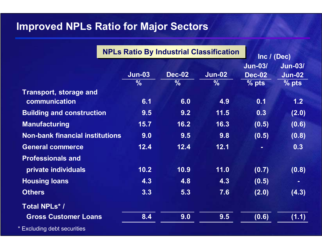## **Improved NPLs Ratio for Major Sectors**

|                                                |                                | <b>NPLs Ratio By Industrial Classification</b> |                                |                                            | Inc $/$ (Dec)                              |  |
|------------------------------------------------|--------------------------------|------------------------------------------------|--------------------------------|--------------------------------------------|--------------------------------------------|--|
|                                                | <b>Jun-03</b><br>$\frac{0}{0}$ | <b>Dec-02</b><br>$\frac{0}{6}$                 | <b>Jun-02</b><br>$\frac{0}{6}$ | <b>Jun-03/</b><br><b>Dec-02</b><br>$%$ pts | <b>Jun-03/</b><br><b>Jun-02</b><br>$%$ pts |  |
| <b>Transport, storage and</b><br>communication | 6.1                            | 6.0                                            | 4.9                            | 0.1                                        | 1.2                                        |  |
| <b>Building and construction</b>               | 9.5                            | 9.2                                            | 11.5                           | 0.3                                        | (2.0)                                      |  |
| <b>Manufacturing</b>                           | 15.7                           | 16.2                                           | 16.3                           | (0.5)                                      | (0.6)                                      |  |
| <b>Non-bank financial institutions</b>         | 9.0                            | 9.5                                            | 9.8                            | (0.5)                                      | (0.8)                                      |  |
| <b>General commerce</b>                        | 12.4                           | 12.4                                           | 12.1                           |                                            | 0.3                                        |  |
| <b>Professionals and</b>                       |                                |                                                |                                |                                            |                                            |  |
| private individuals                            | 10.2                           | 10.9                                           | 11.0                           | (0.7)                                      | (0.8)                                      |  |
| <b>Housing loans</b>                           | 4.3                            | 4.8                                            | 4.3                            | (0.5)                                      | $\blacksquare$                             |  |
| <b>Others</b>                                  | 3.3                            | 5.3                                            | 7.6                            | (2.0)                                      | (4.3)                                      |  |
| <b>Total NPLs* /</b>                           |                                |                                                |                                |                                            |                                            |  |
| <b>Gross Customer Loans</b>                    | 8.4                            | 9.0                                            | 9.5                            | (0.6)                                      | (1.1)                                      |  |
| * Excluding debt securities                    |                                |                                                |                                |                                            |                                            |  |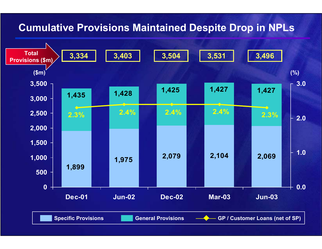#### **Cumulative Provisions Maintained Despite Drop in NPLs**

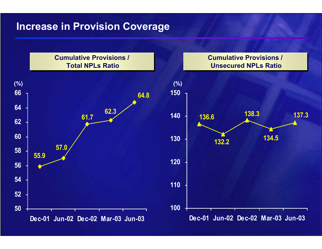#### **Increase in Provision Coverage**

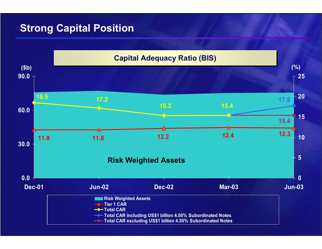#### **Strong Capital Position**

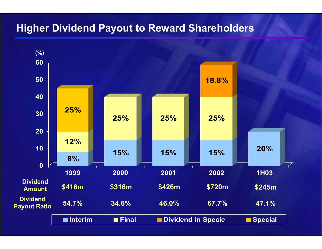#### **Higher Dividend Payout to Reward Shareholders**

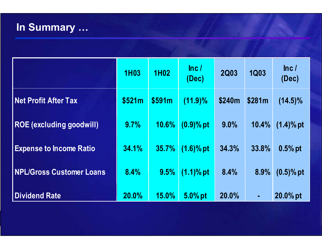# **In Summary …**

|                                 | <b>1H03</b> | <b>1H02</b>  | ln c /<br>(Dec) | <b>2Q03</b> | <b>1Q03</b>    | ln c /<br>(Dec) |
|---------------------------------|-------------|--------------|-----------------|-------------|----------------|-----------------|
| <b>Net Profit After Tax</b>     | \$521m      | \$591m       | $(11.9)\%$      | \$240m      | \$281m         | $(14.5)\%$      |
| <b>ROE (excluding goodwill)</b> | 9.7%        | 10.6%        | $(0.9)$ % pt    | $9.0\%$     | 10.4%          | $(1.4)$ % pt    |
| <b>Expense to Income Ratio</b>  | 34.1%       | 35.7%        | $(1.6)\%$ pt    | 34.3%       | 33.8%          | $0.5%$ pt       |
| <b>NPL/Gross Customer Loans</b> | 8.4%        | 9.5%         | $(1.1)$ % pt    | 8.4%        | $8.9\%$        | $(0.5)$ % pt    |
| <b>Dividend Rate</b>            | 20.0%       | <b>15.0%</b> | 5.0% pt         | 20.0%       | $\blacksquare$ | 20.0% pt        |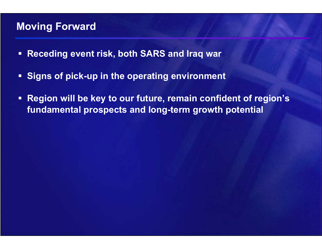#### **Moving Forward**

- $\Box$ **Receding event risk, both SARS and Iraq war**
- $\Box$ **Signs of pick-up in the operating environment**
- **Region will be key to our future, remain confident of region's fundamental prospects and long-term growth potential**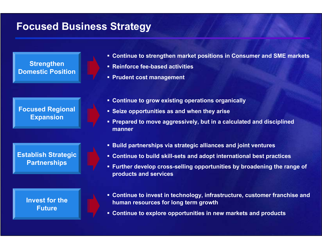#### **Focused Business Strategy**

**Strengthen Domestic Position**

**Focused Regional Expansion**

**Establish Strategic Partnerships**

> **Invest for the Future**

- **Continue to strengthen market positions in Consumer and SME markets**
- **Reinforce fee-based activities**
- **Prudent cost management**
- **Continue to grow existing operations organically**
- **Seize opportunities as and when they arise**
- **Prepared to move aggressively, but in a calculated and disciplined manner**
- **Build partnerships via strategic alliances and joint ventures**
- **Continue to build skill-sets and adopt international best practices**
- **Further develop cross-selling opportunities by broadening the range of products and services**
- **Continue to invest in technology, infrastructure, customer franchise and human resources for long term growth**
- **Continue to explore opportunities in new markets and products**